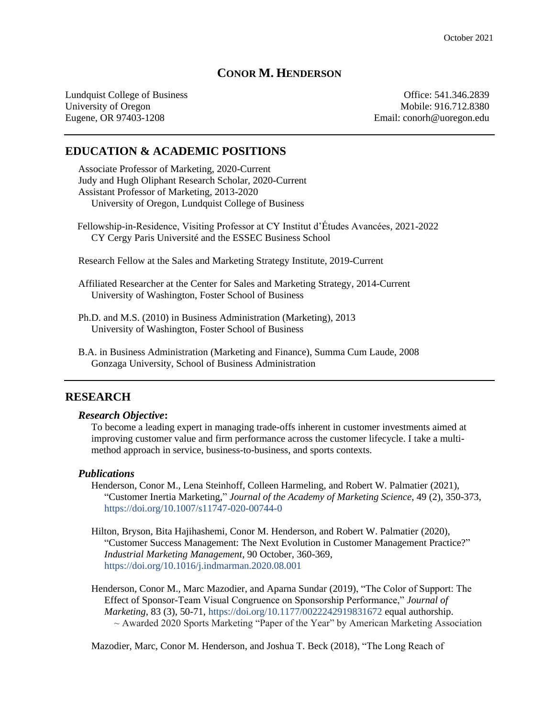# **CONOR M. HENDERSON**

Lundquist College of Business Office: 541.346.2839 University of Oregon Mobile: 916.712.8380 Eugene, OR 97403-1208 Email: conorh@uoregon.edu

## **EDUCATION & ACADEMIC POSITIONS**

Associate Professor of Marketing, 2020-Current Judy and Hugh Oliphant Research Scholar, 2020-Current Assistant Professor of Marketing, 2013-2020 University of Oregon, Lundquist College of Business

Fellowship-in-Residence, Visiting Professor at CY Institut d'Études Avancées, 2021-2022 CY Cergy Paris Université and the ESSEC Business School

Research Fellow at the Sales and Marketing Strategy Institute, 2019-Current

Affiliated Researcher at the Center for Sales and Marketing Strategy, 2014-Current University of Washington, Foster School of Business

Ph.D. and M.S. (2010) in Business Administration (Marketing), 2013 University of Washington, Foster School of Business

B.A. in Business Administration (Marketing and Finance), Summa Cum Laude, 2008 Gonzaga University, School of Business Administration

### **RESEARCH**

#### *Research Objective***:**

To become a leading expert in managing trade-offs inherent in customer investments aimed at improving customer value and firm performance across the customer lifecycle. I take a multimethod approach in service, business-to-business, and sports contexts.

#### *Publications*

Henderson, Conor M., Lena Steinhoff, Colleen Harmeling, and Robert W. Palmatier (2021), "Customer Inertia Marketing," *Journal of the Academy of Marketing Science*, 49 (2), 350-373, <https://doi.org/10.1007/s11747-020-00744-0>

Hilton, Bryson, Bita Hajihashemi, Conor M. Henderson, and Robert W. Palmatier (2020), "Customer Success Management: The Next Evolution in Customer Management Practice?" *Industrial Marketing Management,* 90 October, 360-369, <https://doi.org/10.1016/j.indmarman.2020.08.001>

Henderson, Conor M., Marc Mazodier, and Aparna Sundar (2019), "The Color of Support: The Effect of Sponsor-Team Visual Congruence on Sponsorship Performance," *Journal of Marketing*, 83 (3), 50-71, <https://doi.org/10.1177/0022242919831672> equal authorship.  $\sim$  Awarded 2020 Sports Marketing "Paper of the Year" by American Marketing Association

Mazodier, Marc, Conor M. Henderson, and Joshua T. Beck (2018), "The Long Reach of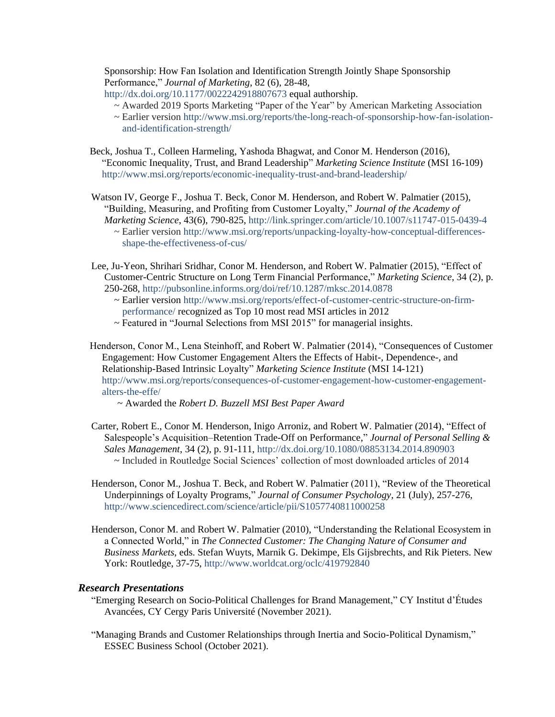Sponsorship: How Fan Isolation and Identification Strength Jointly Shape Sponsorship Performance," *Journal of Marketing*, 82 (6), 28-48,

[http://dx.doi.org/10.1177/0022242918807673](http://journals.sagepub.com/doi/10.1177/0022242918807673) equal authorship.

- ~ Awarded 2019 Sports Marketing "Paper of the Year" by American Marketing Association
- ~ Earlier version [http://www.msi.org/reports/the-long-reach-of-sponsorship-how-fan-isolation](http://www.msi.org/reports/the-long-reach-of-sponsorship-how-fan-isolation-and-identification-strength-jointly-shape-sponsorship-performance/)[and-identification-strength/](http://www.msi.org/reports/the-long-reach-of-sponsorship-how-fan-isolation-and-identification-strength-jointly-shape-sponsorship-performance/)
- Beck, Joshua T., Colleen Harmeling, Yashoda Bhagwat, and Conor M. Henderson (2016), "Economic Inequality, Trust, and Brand Leadership" *Marketing Science Institute* (MSI 16-109) <http://www.msi.org/reports/economic-inequality-trust-and-brand-leadership/>
- Watson IV, George F., Joshua T. Beck, Conor M. Henderson, and Robert W. Palmatier (2015), "Building, Measuring, and Profiting from Customer Loyalty," *Journal of the Academy of Marketing Science*, 43(6), 790-825, [http://link.springer.com/article/10.1007/s11747-015-0439-4](http://link.springer.com/article/10.1007/s11747-015-0439-4?wt_mc=event.ArticleAuthor.OnlineFirst%20) ~ Earlier version [http://www.msi.org/reports/unpacking-loyalty-how-conceptual-differences](http://www.msi.org/reports/unpacking-loyalty-how-conceptual-differences-shape-the-effectiveness-of-cus/)[shape-the-effectiveness-of-cus/](http://www.msi.org/reports/unpacking-loyalty-how-conceptual-differences-shape-the-effectiveness-of-cus/)
- Lee, Ju-Yeon, Shrihari Sridhar, Conor M. Henderson, and Robert W. Palmatier (2015), "Effect of Customer-Centric Structure on Long Term Financial Performance," *Marketing Science*, 34 (2), p. 250-268, <http://pubsonline.informs.org/doi/ref/10.1287/mksc.2014.0878>
	- ~ Earlier version [http://www.msi.org/reports/effect-of-customer-centric-structure-on-firm](http://www.msi.org/reports/effect-of-customer-centric-structure-on-firm-performance/)[performance/](http://www.msi.org/reports/effect-of-customer-centric-structure-on-firm-performance/) recognized as Top 10 most read MSI articles in 2012
	- ~ Featured in "Journal Selections from MSI 2015" for managerial insights.
- Henderson, Conor M., Lena Steinhoff, and Robert W. Palmatier (2014), "Consequences of Customer Engagement: How Customer Engagement Alters the Effects of Habit-, Dependence-, and Relationship-Based Intrinsic Loyalty" *Marketing Science Institute* (MSI 14-121) [http://www.msi.org/reports/consequences-of-customer-engagement-how-customer-engagement](http://www.msi.org/reports/consequences-of-customer-engagement-how-customer-engagement-alters-the-effe/)[alters-the-effe/](http://www.msi.org/reports/consequences-of-customer-engagement-how-customer-engagement-alters-the-effe/)
	- ~ Awarded the *Robert D. Buzzell MSI Best Paper Award*
- Carter, Robert E., Conor M. Henderson, Inigo Arroniz, and Robert W. Palmatier (2014), "Effect of Salespeople's Acquisition–Retention Trade-Off on Performance," *Journal of Personal Selling & Sales Management*, 34 (2), p. 91-111, <http://dx.doi.org/10.1080/08853134.2014.890903> ~ Included in Routledge Social Sciences' collection of most downloaded articles of 2014
- Henderson, Conor M., Joshua T. Beck, and Robert W. Palmatier (2011), "Review of the Theoretical Underpinnings of Loyalty Programs," *Journal of Consumer Psychology*, 21 (July), 257-276, <http://www.sciencedirect.com/science/article/pii/S1057740811000258>
- Henderson, Conor M. and Robert W. Palmatier (2010), "Understanding the Relational Ecosystem in a Connected World," in *The Connected Customer: The Changing Nature of Consumer and Business Markets*, eds. Stefan Wuyts, Marnik G. Dekimpe, Els Gijsbrechts, and Rik Pieters. New York: Routledge, 37-75, http://www.worldcat.org/oclc/419792840

### *Research Presentations*

- "Emerging Research on Socio-Political Challenges for Brand Management," CY Institut d'Études Avancées, CY Cergy Paris Université (November 2021).
- "Managing Brands and Customer Relationships through Inertia and Socio-Political Dynamism," ESSEC Business School (October 2021).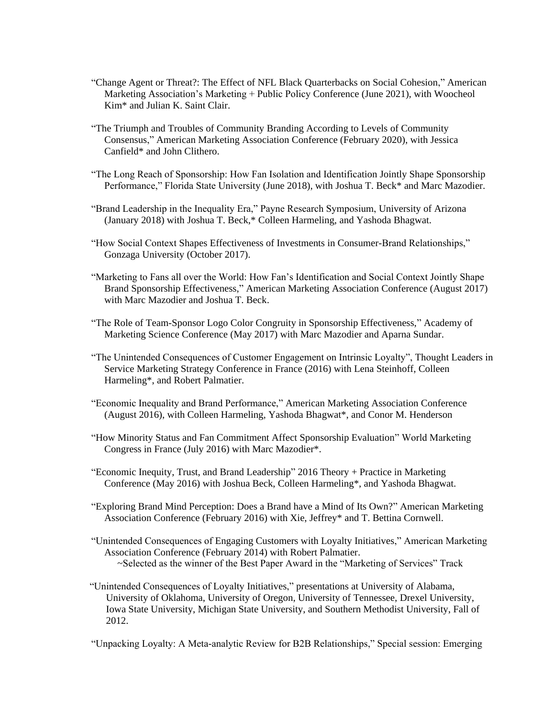- "Change Agent or Threat?: The Effect of NFL Black Quarterbacks on Social Cohesion," American Marketing Association's Marketing + Public Policy Conference (June 2021), with Woocheol Kim\* and Julian K. Saint Clair.
- "The Triumph and Troubles of Community Branding According to Levels of Community Consensus," American Marketing Association Conference (February 2020), with Jessica Canfield\* and John Clithero.
- "The Long Reach of Sponsorship: How Fan Isolation and Identification Jointly Shape Sponsorship Performance," Florida State University (June 2018), with Joshua T. Beck\* and Marc Mazodier.
- "Brand Leadership in the Inequality Era," Payne Research Symposium, University of Arizona (January 2018) with Joshua T. Beck,\* Colleen Harmeling, and Yashoda Bhagwat.
- "How Social Context Shapes Effectiveness of Investments in Consumer-Brand Relationships," Gonzaga University (October 2017).
- "Marketing to Fans all over the World: How Fan's Identification and Social Context Jointly Shape Brand Sponsorship Effectiveness," American Marketing Association Conference (August 2017) with Marc Mazodier and Joshua T. Beck.
- "The Role of Team-Sponsor Logo Color Congruity in Sponsorship Effectiveness," Academy of Marketing Science Conference (May 2017) with Marc Mazodier and Aparna Sundar.
- "The Unintended Consequences of Customer Engagement on Intrinsic Loyalty", Thought Leaders in Service Marketing Strategy Conference in France (2016) with Lena Steinhoff, Colleen Harmeling\*, and Robert Palmatier.
- "Economic Inequality and Brand Performance," American Marketing Association Conference (August 2016), with Colleen Harmeling, Yashoda Bhagwat\*, and Conor M. Henderson
- "How Minority Status and Fan Commitment Affect Sponsorship Evaluation" World Marketing Congress in France (July 2016) with Marc Mazodier\*.
- "Economic Inequity, Trust, and Brand Leadership" 2016 Theory + Practice in Marketing Conference (May 2016) with Joshua Beck, Colleen Harmeling\*, and Yashoda Bhagwat.
- "Exploring Brand Mind Perception: Does a Brand have a Mind of Its Own?" American Marketing Association Conference (February 2016) with Xie, Jeffrey\* and T. Bettina Cornwell.
- "Unintended Consequences of Engaging Customers with Loyalty Initiatives," American Marketing Association Conference (February 2014) with Robert Palmatier. ~Selected as the winner of the Best Paper Award in the "Marketing of Services" Track
- "Unintended Consequences of Loyalty Initiatives," presentations at University of Alabama, University of Oklahoma, University of Oregon, University of Tennessee, Drexel University, Iowa State University, Michigan State University, and Southern Methodist University, Fall of 2012.
- "Unpacking Loyalty: A Meta-analytic Review for B2B Relationships," Special session: Emerging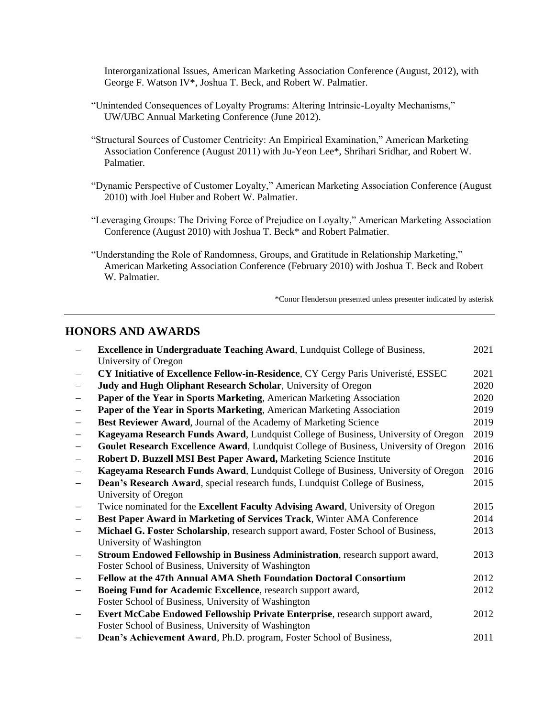Interorganizational Issues, American Marketing Association Conference (August, 2012), with George F. Watson IV\*, Joshua T. Beck, and Robert W. Palmatier.

- "Unintended Consequences of Loyalty Programs: Altering Intrinsic-Loyalty Mechanisms," UW/UBC Annual Marketing Conference (June 2012).
- "Structural Sources of Customer Centricity: An Empirical Examination," American Marketing Association Conference (August 2011) with Ju-Yeon Lee\*, Shrihari Sridhar, and Robert W. Palmatier.
- "Dynamic Perspective of Customer Loyalty," American Marketing Association Conference (August 2010) with Joel Huber and Robert W. Palmatier.
- "Leveraging Groups: The Driving Force of Prejudice on Loyalty," American Marketing Association Conference (August 2010) with Joshua T. Beck\* and Robert Palmatier.
- "Understanding the Role of Randomness, Groups, and Gratitude in Relationship Marketing," American Marketing Association Conference (February 2010) with Joshua T. Beck and Robert W. Palmatier.

\*Conor Henderson presented unless presenter indicated by asterisk

## **HONORS AND AWARDS**

|                          | <b>Excellence in Undergraduate Teaching Award, Lundquist College of Business,</b>      | 2021 |
|--------------------------|----------------------------------------------------------------------------------------|------|
|                          | University of Oregon                                                                   |      |
| $\overline{\phantom{m}}$ | CY Initiative of Excellence Fellow-in-Residence, CY Cergy Paris Univeristé, ESSEC      | 2021 |
| $\overline{\phantom{m}}$ | Judy and Hugh Oliphant Research Scholar, University of Oregon                          | 2020 |
| $\overline{\phantom{m}}$ | Paper of the Year in Sports Marketing, American Marketing Association                  | 2020 |
| $\overline{\phantom{m}}$ | Paper of the Year in Sports Marketing, American Marketing Association                  | 2019 |
|                          | Best Reviewer Award, Journal of the Academy of Marketing Science                       | 2019 |
| $\overline{\phantom{m}}$ | Kageyama Research Funds Award, Lundquist College of Business, University of Oregon     | 2019 |
| $\overline{\phantom{m}}$ | Goulet Research Excellence Award, Lundquist College of Business, University of Oregon  | 2016 |
| $\overline{\phantom{m}}$ | Robert D. Buzzell MSI Best Paper Award, Marketing Science Institute                    | 2016 |
|                          | Kageyama Research Funds Award, Lundquist College of Business, University of Oregon     | 2016 |
|                          | Dean's Research Award, special research funds, Lundquist College of Business,          | 2015 |
|                          | University of Oregon                                                                   |      |
|                          | Twice nominated for the <b>Excellent Faculty Advising Award</b> , University of Oregon | 2015 |
|                          | Best Paper Award in Marketing of Services Track, Winter AMA Conference                 | 2014 |
|                          | Michael G. Foster Scholarship, research support award, Foster School of Business,      | 2013 |
|                          | University of Washington                                                               |      |
|                          | Stroum Endowed Fellowship in Business Administration, research support award,          | 2013 |
|                          | Foster School of Business, University of Washington                                    |      |
|                          | Fellow at the 47th Annual AMA Sheth Foundation Doctoral Consortium                     | 2012 |
|                          | Boeing Fund for Academic Excellence, research support award,                           | 2012 |
|                          | Foster School of Business, University of Washington                                    |      |
| $\overline{\phantom{m}}$ | Evert McCabe Endowed Fellowship Private Enterprise, research support award,            | 2012 |
|                          | Foster School of Business, University of Washington                                    |      |
|                          | Dean's Achievement Award, Ph.D. program, Foster School of Business,                    | 2011 |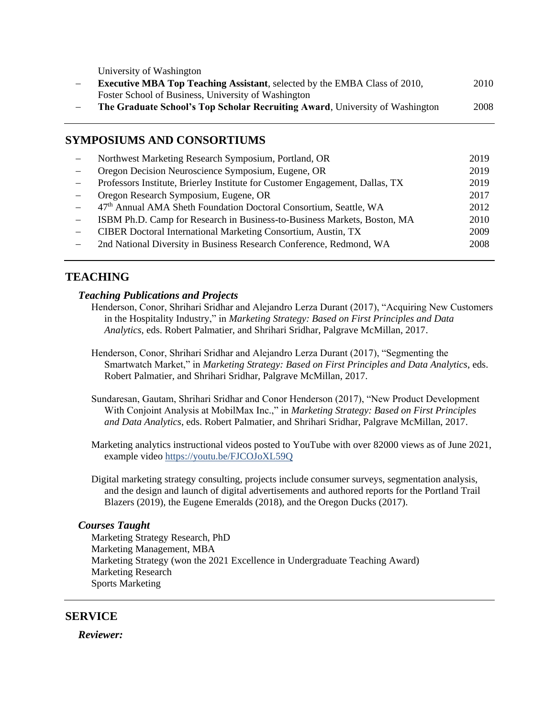| University of Washington                                                          |      |
|-----------------------------------------------------------------------------------|------|
| <b>Executive MBA Top Teaching Assistant</b> , selected by the EMBA Class of 2010, | 2010 |
| Foster School of Business, University of Washington                               |      |
| The Graduate School's Top Scholar Recruiting Award, University of Washington      | 2008 |
|                                                                                   |      |

## **SYMPOSIUMS AND CONSORTIUMS**

| Northwest Marketing Research Symposium, Portland, OR                          | 2019 |
|-------------------------------------------------------------------------------|------|
| Oregon Decision Neuroscience Symposium, Eugene, OR                            | 2019 |
| Professors Institute, Brierley Institute for Customer Engagement, Dallas, TX  | 2019 |
| Oregon Research Symposium, Eugene, OR                                         | 2017 |
| 47 <sup>th</sup> Annual AMA Sheth Foundation Doctoral Consortium, Seattle, WA | 2012 |
| ISBM Ph.D. Camp for Research in Business-to-Business Markets, Boston, MA      | 2010 |
| CIBER Doctoral International Marketing Consortium, Austin, TX                 | 2009 |
| 2nd National Diversity in Business Research Conference, Redmond, WA           | 2008 |
|                                                                               |      |

# **TEACHING**

### *Teaching Publications and Projects*

- Henderson, Conor, Shrihari Sridhar and Alejandro Lerza Durant (2017), "Acquiring New Customers in the Hospitality Industry," in *Marketing Strategy: Based on First Principles and Data Analytics*, eds. Robert Palmatier, and Shrihari Sridhar, Palgrave McMillan, 2017.
- Henderson, Conor, Shrihari Sridhar and Alejandro Lerza Durant (2017), "Segmenting the Smartwatch Market," in *Marketing Strategy: Based on First Principles and Data Analytics*, eds. Robert Palmatier, and Shrihari Sridhar, Palgrave McMillan, 2017.
- Sundaresan, Gautam, Shrihari Sridhar and Conor Henderson (2017), "New Product Development With Conjoint Analysis at MobilMax Inc.," in *Marketing Strategy: Based on First Principles and Data Analytics*, eds. Robert Palmatier, and Shrihari Sridhar, Palgrave McMillan, 2017.
- Marketing analytics instructional videos posted to YouTube with over 82000 views as of June 2021, example video<https://youtu.be/FJCOJoXL59Q>
- Digital marketing strategy consulting, projects include consumer surveys, segmentation analysis, and the design and launch of digital advertisements and authored reports for the Portland Trail Blazers (2019), the Eugene Emeralds (2018), and the Oregon Ducks (2017).

### *Courses Taught*

Marketing Strategy Research, PhD Marketing Management, MBA Marketing Strategy (won the 2021 Excellence in Undergraduate Teaching Award) Marketing Research Sports Marketing

## **SERVICE**

*Reviewer:*